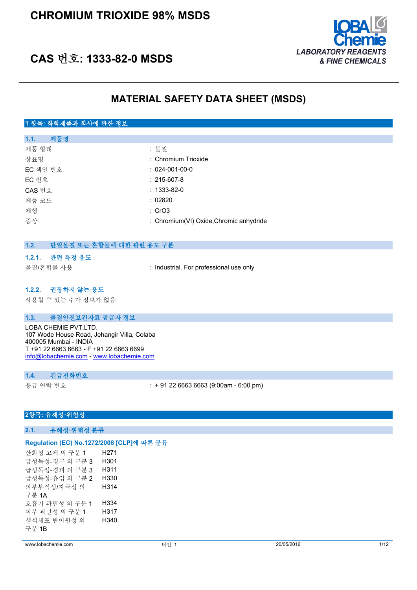

# **CAS 번호: 1333-82-0 MSDS**

# **MATERIAL SAFETY DATA SHEET (MSDS)**

### **1 항목: 화학제품과 회사에 관한 정보**

| 제품명<br>1.1. |                                         |
|-------------|-----------------------------------------|
| 제품 형태       | : 물질                                    |
| 상표명         | : Chromium Trioxide                     |
| EC 색인 번호    | $: 024 - 001 - 00 - 0$                  |
| EC 번호       | $: 215 - 607 - 8$                       |
| CAS 번호      | $: 1333 - 82 - 0$                       |
| 제품 코드       | : 02820                                 |
| 제형          | : CrO3                                  |
| 증상          | : Chromium(VI) Oxide, Chromic anhydride |
|             |                                         |

### **1.2. 단일물질 또는 혼합물에 대한 관련 용도 구분**

#### **1.2.1. 관련 특정 용도**

물질/혼합물 사용 : Industrial. For professional use only

#### **1.2.2. 권장하지 않는 용도**

사용할 수 있는 추가 정보가 없음

#### **1.3. 물질안전보건자료 공급자 정보**

LOBA CHEMIE PVT.LTD. 107 Wode House Road, Jehangir Villa, Colaba 400005 Mumbai - INDIA T +91 22 6663 6663 - F +91 22 6663 6699 [info@lobachemie.com](mailto:info@lobachemie.com) - <www.lobachemie.com>

#### **1.4. 긴급전화번호**

응급 연락 번호 : + 91 22 6663 6663 (9:00am - 6:00 pm)

#### **2항목: 유해성·위험성**

**2.1. 유해성·위험성 분류**

#### **Regulation (EC) No.1272/2008 [CLP]에 따른 분류**

산화성 고체 의 구분 1 H271 급성독성-경구 의 구분 3 H301 급성독성-경피 의 구분 3 H311 급성독성-흡입 의 구분 2 H330 피부부식성/자극성 의 구분 1A H314 호흡기 과민성 의 구분 1 H334 피부 과민성 의 구분 1 H317 생식세포 변이원성 의 구분 1B H340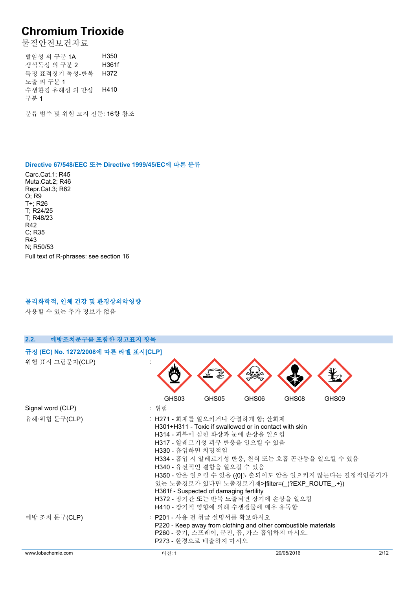물질안전보건자료

발암성 의 구분 1A H350 생식독성 의 구분 2 H361f 특정 표적장기 독성-반복 H372 노출 의 구분 1 수생환경 유해성 의 만성 H410 구분 1

분류 범주 및 위험 고지 전문: 16항 참조

#### **Directive 67/548/EEC 또는 Directive 1999/45/EC에 따른 분류**

Carc.Cat.1; R45 Muta.Cat.2; R46 Repr.Cat.3; R62 O; R9 T+; R26 T; R24/25 T; R48/23 R42 C; R35 R43 N; R50/53 Full text of R-phrases: see section 16

#### **물리화학적, 인체 건강 및 환경상의악영향**

사용할 수 있는 추가 정보가 없음

| 2.2.<br>예방조치문구를 포함한 경고표지 항목          |                                                    |                                                                                                                                                                                                                                                                                                                       |       |            |                                                                                                   |
|--------------------------------------|----------------------------------------------------|-----------------------------------------------------------------------------------------------------------------------------------------------------------------------------------------------------------------------------------------------------------------------------------------------------------------------|-------|------------|---------------------------------------------------------------------------------------------------|
| 규정 (EC) No. 1272/2008에 따른 라벨 표시[CLP] |                                                    |                                                                                                                                                                                                                                                                                                                       |       |            |                                                                                                   |
| 위험 표시 그림문자(CLP)                      |                                                    |                                                                                                                                                                                                                                                                                                                       |       |            |                                                                                                   |
|                                      | GHS03                                              | GHS05                                                                                                                                                                                                                                                                                                                 | GHS06 | GHS08      | GHS09                                                                                             |
| Signal word (CLP)                    | : 위험                                               |                                                                                                                                                                                                                                                                                                                       |       |            |                                                                                                   |
| 유해·위험 문구(CLP)                        | : H271 - 화재를 일으키거나 강렬하게 함; 산화제<br>H330 - 흡입하면 치명적임 | H301+H311 - Toxic if swallowed or in contact with skin<br>H314 - 피부에 심한 화상과 눈에 손상을 일으킴<br>H317 - 알레르기성 피부 반응을 일으킬 수 있음<br>H340 - 유전적인 결함을 일으킬 수 있음<br>있는 노출경로가 있다면 노출경로기재> filter=() ?EXP_ROUTE_+})<br>H361f - Suspected of damaging fertility<br>H372 - 장기간 또는 반복 노출되면 장기에 손상을 일으킴<br>H410 - 장기적 영향에 의해 수생생물에 매우 유독함 |       |            | H334 - 흡입 시 알레르기성 반응, 천식 또는 호흡 곤란등을 일으킬 수 있음<br>H350 - 암을 일으킬 수 있음 ({0 노출되어도 암을 일으키지 않는다는 결정적인증거가 |
| 예방 조치 문구(CLP)                        | : P201 - 사용 전 취급 설명서를 확보하시오                        | P220 - Keep away from clothing and other combustible materials<br>P260 - 증기, 스프레이, 분진, 흄, 가스 흡입하지 마시오.<br>P273 - 환경으로 배출하지 마시오                                                                                                                                                                                        |       |            |                                                                                                   |
| www.lobachemie.com                   | 버전: 1                                              |                                                                                                                                                                                                                                                                                                                       |       | 20/05/2016 | 2/12                                                                                              |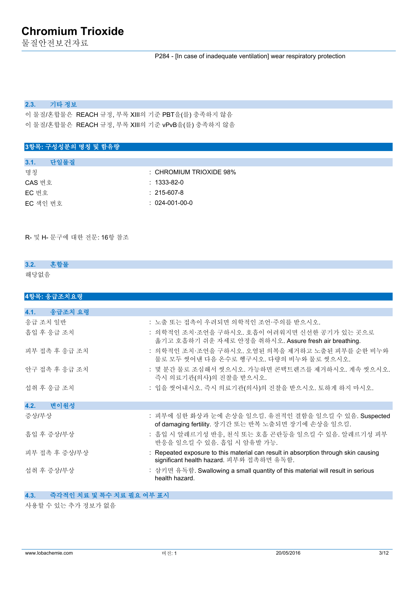물질안전보건자료

P284 - [In case of inadequate ventilation] wear respiratory protection

#### **2.3. 기타 정보**

이 물질/혼합물은 REACH 규정, 부록 XIII의 기준 PBT을(를) 충족하지 않음 이 물질/혼합물은 REACH 규정, 부록 XIII의 기준 vPvB을(를) 충족하지 않음

### **3항목: 구성성분의 명칭 및 함유량**

| 다일물질<br>3.1. |                                    |
|--------------|------------------------------------|
| 명칭           | $\therefore$ CHROMIUM TRIOXIDE 98% |
| CAS 번호       | $: 1333 - 82 - 0$                  |
| EC 번호        | $: 215 - 607 - 8$                  |
| EC 색인 번호     | $: 024-001-00-0$                   |

R- 및 H- 문구에 대한 전문: 16항 참조

### **3.2. 혼합물** 해당없음

| 4항목: 응급조치요령     |                                                                                                                                |
|-----------------|--------------------------------------------------------------------------------------------------------------------------------|
|                 |                                                                                                                                |
| 응급조치 요령<br>4.1. |                                                                                                                                |
| 응급 조치 일반        | : 노출 또는 접촉이 우려되면 의학적인 조언·주의를 받으시오.                                                                                             |
| 흡입 후 응급 조치      | : 의학적인 조치·조언을 구하시오. 호흡이 어려워지면 신선한 공기가 있는 곳으로<br>옮기고 호흡하기 쉬운 자세로 안정을 취하시오. Assure fresh air breathing.                          |
| 피부 접촉 후 응급 조치   | : 의학적인 조치·조언을 구하시오. 오염된 의복을 제거하고 노출된 피부를 순한 비누와<br>물로 모두 씻어낸 다음 온수로 헹구시오. 다량의 비누와 물로 씻으시오.                                     |
| 안구 접촉 후 응급 조치   | : 몇 분간 물로 조심해서 씻으시오. 가능하면 콘택트렌즈를 제거하시오. 계속 씻으시오.<br>즉시 의료기관(의사)의 진찰을 받으시오.                                                     |
| 섭취 후 응급 조치      | : 입을 씻어내시오. 즉시 의료기관(의사)의 진찰을 받으시오. 토하게 하지 마시오.                                                                                 |
| 4.2.<br>- 변이원성  |                                                                                                                                |
| 증상/부상           | : 피부에 심한 화상과 눈에 손상을 일으킴. 유전적인 결함을 일으킬 수 있음. Suspected<br>of damaging fertility. 장기간 또는 반복 노출되면 장기에 손상을 일으킴.                    |
| 흡입 후 증상/부상      | : 흡입 시 알레르기성 반응, 천식 또는 호흡 곤란등을 일으킬 수 있음. 알레르기성 피부<br>반응을 일으킬 수 있음. 흡입 시 암유발 가능.                                                |
| 피부 접촉 후 증상/부상   | : Repeated exposure to this material can result in absorption through skin causing<br>significant health hazard. 피부와 접촉하면 유독함. |
| 섭취 후 증상/부상      | : 삼키면 유독함. Swallowing a small quantity of this material will result in serious<br>health hazard.                               |

### **4.3. 즉각적인 치료 및 특수 치료 필요 여부 표시**

사용할 수 있는 추가 정보가 없음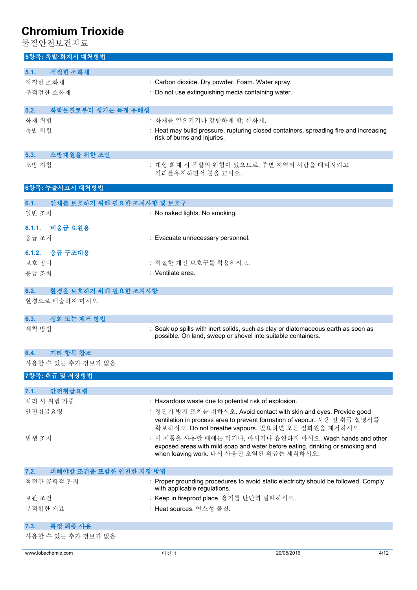- - ... - ......... . .<br>물질안전보건자료

| 5항목: 폭발·화재시 대처방법                   |                                                                                                                                                                                                     |
|------------------------------------|-----------------------------------------------------------------------------------------------------------------------------------------------------------------------------------------------------|
| 적절한 소화제<br>5.1.                    |                                                                                                                                                                                                     |
| 적절한 소화제                            | : Carbon dioxide. Dry powder. Foam. Water spray.                                                                                                                                                    |
| 부적절한 소화재                           | : Do not use extinguishing media containing water.                                                                                                                                                  |
| 화학물질로부터 생기는 특정 유해성<br>5.2.         |                                                                                                                                                                                                     |
| 화재 위험                              | : 화재를 일으키거나 강렬하게 함; 산화제.                                                                                                                                                                            |
| 폭발 위험                              | : Heat may build pressure, rupturing closed containers, spreading fire and increasing<br>risk of burns and injuries.                                                                                |
| 소방대원을 위한 조언<br>5.3.                |                                                                                                                                                                                                     |
| 소방 지침                              | : 대형 화재 시 폭발의 위험이 있으므로, 주변 지역의 사람을 대피시키고<br>거리를유지하면서 불을 끄시오.                                                                                                                                        |
| 6항목: 누출사고시 대처방법                    |                                                                                                                                                                                                     |
| 인체를 보호하기 위해 필요한 조치사항 및 보호구<br>6.1. |                                                                                                                                                                                                     |
| 일반 조치                              | : No naked lights. No smoking.                                                                                                                                                                      |
| 6.1.1. 비응급 요원용                     |                                                                                                                                                                                                     |
| 응급 조치                              | : Evacuate unnecessary personnel.                                                                                                                                                                   |
| 6.1.2. 응급 구조대용                     |                                                                                                                                                                                                     |
| 보호 장비                              | : 적절한 개인 보호구를 착용하시오.                                                                                                                                                                                |
| 응급 조치                              | : Ventilate area.                                                                                                                                                                                   |
| 6.2.<br>환경을 보호하기 위해 필요한 조치사항       |                                                                                                                                                                                                     |
| 환경으로 배출하지 마시오.                     |                                                                                                                                                                                                     |
| 정화 또는 제거 방법<br>6.3.                |                                                                                                                                                                                                     |
| 세척 방법                              | Soak up spills with inert solids, such as clay or diatomaceous earth as soon as<br>possible. On land, sweep or shovel into suitable containers.                                                     |
|                                    |                                                                                                                                                                                                     |
| 기타 항목 참조<br>6.4.                   |                                                                                                                                                                                                     |
| 사용할 수 있는 추가 정보가 없음                 |                                                                                                                                                                                                     |
| 7항목: 취급 및 저장방법                     |                                                                                                                                                                                                     |
| 안전취급요령<br>7.1.                     |                                                                                                                                                                                                     |
| 처리 시 위험 가중                         | : Hazardous waste due to potential risk of explosion.                                                                                                                                               |
| 안전취급요령                             | : 정전기 방지 조치를 취하시오. Avoid contact with skin and eyes. Provide good<br>ventilation in process area to prevent formation of vapour. 사용 전 취급 설명서를<br>확보하시오. Do not breathe vapours. 필요하면 모든 점화원을 제거하시오. |
| 위생 조치                              | : 이 제품을 사용할 때에는 먹거나, 마시거나 흡연하지 마시오. Wash hands and other<br>exposed areas with mild soap and water before eating, drinking or smoking and<br>when leaving work. 다시 사용전 오염된 의류는 세척하시오.               |
| 7.2.<br>피해야할 조건을 포함한 안전한 저장 방법     |                                                                                                                                                                                                     |
| 적절한 공학적 관리                         | : Proper grounding procedures to avoid static electricity should be followed. Comply<br>with applicable regulations.                                                                                |
| 보관 조건                              | : Keep in fireproof place. 용기를 단단히 밀폐하시오.                                                                                                                                                           |
| 부적합한 재료                            | : Heat sources. 연소성 물질.                                                                                                                                                                             |
| 특정 최종 사용<br>7.3.                   |                                                                                                                                                                                                     |
| 사용할 수 있는 추가 정보가 없음                 |                                                                                                                                                                                                     |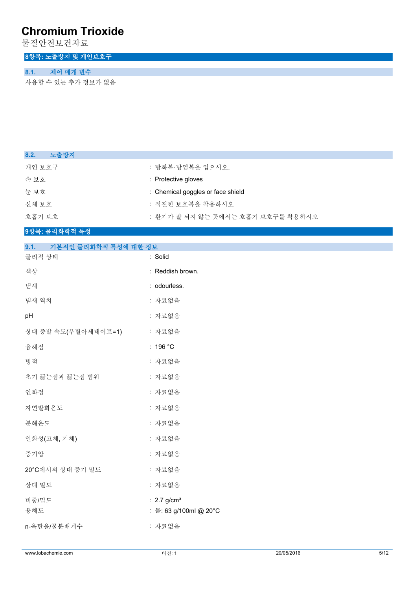물질안전보건자료

## **8항목: 노출방지 및 개인보호구**

### **8.1. 제어 매개 변수**

사용할 수 있는 추가 정보가 없음

| : 방화복·방염복을 입으시오.                  |
|-----------------------------------|
| : Protective gloves               |
| : Chemical goggles or face shield |
| : 적절한 보호복을 착용하시오                  |
| : 환기가 잘 되지 않는 곳에서는 호흡기 보호구를 착용하시오 |
|                                   |

#### **9항목: 물리화학적 특성**

| 9.1.<br>기본적인 물리화학적 특성에 대한 정보 |                                                     |
|------------------------------|-----------------------------------------------------|
| 물리적 상태                       | : Solid                                             |
| 색상                           | : Reddish brown.                                    |
| 냄새                           | : odourless.                                        |
| 냄새 역치                        | : 자료없음                                              |
| pH                           | : 자료없음                                              |
| 상대 증발 속도(부틸아세테이트=1)          | : 자료없음                                              |
| 융해점                          | : 196 °C                                            |
| 빙점                           | : 자료없음                                              |
| 초기 끓는점과 끓는점 범위               | : 자료없음                                              |
| 인화점                          | : 자료없음                                              |
| 자연발화온도                       | : 자료없음                                              |
| 분해온도                         | : 자료없음                                              |
| 인화성(고체, 기체)                  | : 자료없음                                              |
| 증기압                          | : 자료없음                                              |
| 20°C에서의 상대 증기 밀도             | : 자료없음                                              |
| 상대 밀도                        | : 자료없음                                              |
| 비중/밀도<br>용해도                 | : $2.7$ g/cm <sup>3</sup><br>: 물: 63 g/100ml @ 20°C |
| n-옥탄올/물분배계수                  | : 자료없음                                              |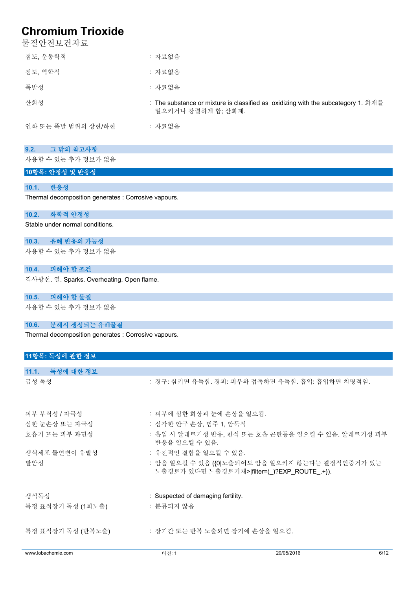물질안전보건자료

| 점도, 운동학적           | : 자료없음                                                                                                  |
|--------------------|---------------------------------------------------------------------------------------------------------|
| 점도, 역학적            | : 자료없음                                                                                                  |
| 폭발성                | : 자료없음                                                                                                  |
| 산화성                | : The substance or mixture is classified as oxidizing with the subcategory 1. 화재를<br>일으키거나 강렬하게 함; 산화제. |
| 인화 또는 폭발 범위의 상한/하한 | : 자료없음                                                                                                  |

#### **9.2. 그 밖의 참고사항**

사용할 수 있는 추가 정보가 없음

### **10항목: 안정성 및 반응성**

#### **10.1. 반응성**

Thermal decomposition generates : Corrosive vapours.

#### **10.2. 화학적 안정성**

Stable under normal conditions.

#### **10.3. 유해 반응의 가능성**

사용할 수 있는 추가 정보가 없음

#### **10.4. 피해야 할 조건**

직사광선. 열. Sparks. Overheating. Open flame.

#### **10.5. 피해야 할 물질**

사용할 수 있는 추가 정보가 없음

#### **10.6. 분해시 생성되는 유해물질**

Thermal decomposition generates : Corrosive vapours.

| 11항목: 독성에 관한 정보    |                                    |                                                                                                 |      |
|--------------------|------------------------------------|-------------------------------------------------------------------------------------------------|------|
|                    |                                    |                                                                                                 |      |
| 11.1. 독성에 대한 정보    |                                    |                                                                                                 |      |
| 급성 독성              |                                    | : 경구: 삼키면 유독함. 경피: 피부와 접촉하면 유독함. 흡입: 흡입하면 치명적임.                                                 |      |
| 피부 부식성 / 자극성       | : 피부에 심한 화상과 눈에 손상을 일으킴.           |                                                                                                 |      |
| 심한 눈손상 또는 자극성      | : 심각한 안구 손상, 범주 1, 암묵적             |                                                                                                 |      |
| 호흡기 또는 피부 과민성      | 반응을 일으킬 수 있음.                      | : 흡입 시 알레르기성 반응, 천식 또는 호흡 곤란등을 일으킬 수 있음. 알레르기성 피부                                               |      |
| 생식세포 돌연변이 유발성      | : 유전적인 결함을 일으킬 수 있음.               |                                                                                                 |      |
| 발암성                |                                    | : 암을 일으킬 수 있음 ({0 노출되어도 암을 일으키지 않는다는 결정적인증거가 있는<br>노출경로가 있다면 노출경로기재> filter=(_)?EXP_ROUTE_.+}). |      |
| 생식독성               | : Suspected of damaging fertility. |                                                                                                 |      |
| 특정 표적장기 독성 (1회노출)  | : 분류되지 않음                          |                                                                                                 |      |
| 특정 표적장기 독성 (반복노출)  | : 장기간 또는 반복 노출되면 장기에 손상을 일으킴.      |                                                                                                 |      |
| www.lobachemie.com | 버전: 1                              | 20/05/2016                                                                                      | 6/12 |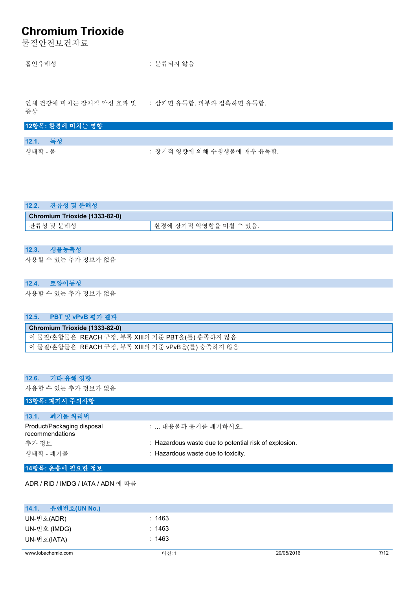물질안전보건자료

흡인유해성 : 분류되지 않음

인체 건강에 미치는 잠재적 악성 효과 및 : 삼키면 유독함. 피부와 접촉하면 유독함.

증상

|          | 12항목: 환경에 미치는 영향 |                            |
|----------|------------------|----------------------------|
|          |                  |                            |
| 12.1. 독성 |                  |                            |
| 생태학 - 물  |                  | : 장기적 영향에 의해 수생생물에 매우 유독함. |

| 환경에 장기적 악영향을 미칠 수 있음. |
|-----------------------|
|                       |

### **12.3. 생물농축성**

사용할 수 있는 추가 정보가 없음

#### **12.4. 토양이동성**

사용할 수 있는 추가 정보가 없음

| 12.5. PBT 및 vPvB 평가 결과                            |
|---------------------------------------------------|
| Chromium Trioxide (1333-82-0)                     |
| │ 이 물질/혼합물은 REACH 규정, 부록 XⅢ의 기준 PBT을(를) 충족하지 않음   |
| │ 이 물질/혼합물은  REACH 규정, 부록 XⅢ의 기준 vPvB을(를) 충족하지 않음 |

#### **12.6. 기타 유해 영향**

사용할 수 있는 추가 정보가 없음

#### **13항목: 폐기시 주의사항**

| 13.1.<br>- 폐기물 처리법                            |                                                       |
|-----------------------------------------------|-------------------------------------------------------|
| Product/Packaging disposal<br>recommendations | :  내용물과 용기를 폐기하시오.                                    |
| 추가 정보                                         | : Hazardous waste due to potential risk of explosion. |
| 생태학 - 폐기물                                     | : Hazardous waste due to toxicity.                    |

#### **14항목: 운송에 필요한 정보**

ADR / RID / IMDG / IATA / ADN 에 따름

| 14.1. 유엔번호(UN No.) |        |            |      |
|--------------------|--------|------------|------|
| UN-번호(ADR)         | : 1463 |            |      |
| UN-번호 (IMDG)       | : 1463 |            |      |
| UN-번호(IATA)        | : 1463 |            |      |
|                    |        |            |      |
| www.lobachemie.com | 버전: 1  | 20/05/2016 | 7/12 |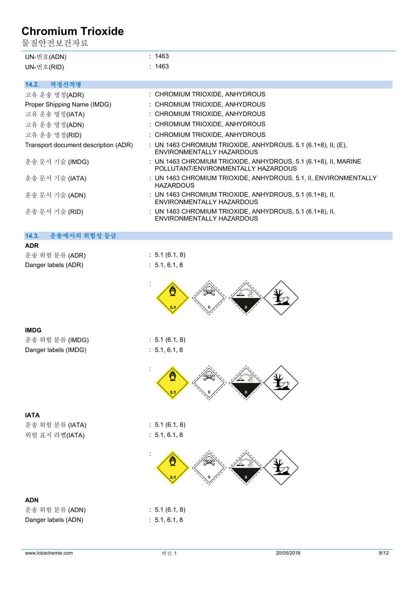물질안전보건자료

| UN-번호(ADN) | ∵ 1463 |
|------------|--------|
| UN-번호(RID) | : 1463 |

### **14.2. 적정선적명**

| .                                    |                                                                                                        |
|--------------------------------------|--------------------------------------------------------------------------------------------------------|
| 고유 운송 명칭(ADR)                        | : CHROMIUM TRIOXIDE, ANHYDROUS                                                                         |
| Proper Shipping Name (IMDG)          | : CHROMIUM TRIOXIDE, ANHYDROUS                                                                         |
| 고유 운송 명칭(IATA)                       | : CHROMIUM TRIOXIDE, ANHYDROUS                                                                         |
| 고유 운송 명칭(ADN)                        | : CHROMIUM TRIOXIDE, ANHYDROUS                                                                         |
| 고유 운송 명칭(RID)                        | : CHROMIUM TRIOXIDE, ANHYDROUS                                                                         |
| Transport document description (ADR) | : UN 1463 CHROMIUM TRIOXIDE, ANHYDROUS, 5.1 (6.1+8), II, (E),<br>ENVIRONMENTALLY HAZARDOUS             |
| 운송 문서 기술 (IMDG)                      | : UN 1463 CHROMIUM TRIOXIDE, ANHYDROUS, 5.1 (6.1+8), II, MARINE<br>POLLUTANT/ENVIRONMENTALLY HAZARDOUS |
| 운송 문서 기술 (IATA)                      | : UN 1463 CHROMIUM TRIOXIDE, ANHYDROUS, 5.1, II, ENVIRONMENTALLY<br><b>HAZARDOUS</b>                   |
| 운송 문서 기술 (ADN)                       | : UN 1463 CHROMIUM TRIOXIDE, ANHYDROUS, 5.1 $(6.1+8)$ , II,<br>ENVIRONMENTALLY HAZARDOUS               |
| 운송 문서 기술 (RID)                       | : UN 1463 CHROMIUM TRIOXIDE, ANHYDROUS, 5.1 (6.1+8), II,<br>ENVIRONMENTALLY HAZARDOUS                  |
| 14.3.<br>운송에서의 위험성 등급                |                                                                                                        |
|                                      |                                                                                                        |

| <b>ADR</b>          |                           |
|---------------------|---------------------------|
| 운송 위험 분류 (ADR)      | $\therefore$ 5.1 (6.1, 8) |
| Danger labels (ADR) | $\div$ 5.1, 6.1, 8        |



#### **IMDG**

| 운송 위험 분류 (IMDG)      | : 5.1(6.1, 8) |  |
|----------------------|---------------|--|
| Danger labels (IMDG) | : 5.1, 6.1, 8 |  |



**IATA** 운송 위험 분류 (IATA) : 5.1 (6.1, 8) 위험 표지 라벨(IATA) : 5.1, 6.1, 8

### **ADN**

운송 위험 분류 (ADN) : 5.1 (6.1, 8) Danger labels (ADN) : 5.1, 6.1, 8

: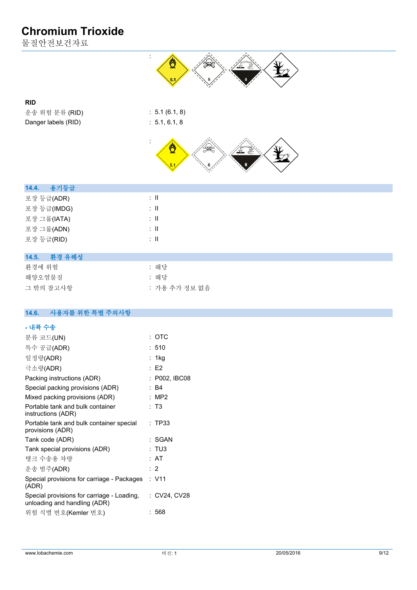물질안전보건자료



### **RID**

운송 위험 분류 (RID) : 5.1 (6.1, 8) Danger labels (RID) : 5.1, 6.1, 8



| 용기등급<br>14.4. |                          |  |  |
|---------------|--------------------------|--|--|
| 포장 등급(ADR)    | ÷Ш                       |  |  |
| 포장 등급(IMDG)   | $\therefore$ $\parallel$ |  |  |
| 포장 그룹(IATA)   | ÷Ш                       |  |  |
| 포장 그룹(ADN)    | $\therefore$ $\parallel$ |  |  |
| 포장 등급(RID)    | ÷Ш                       |  |  |
|               |                          |  |  |

#### **14.5. 환경 유해성**

| 화경에 위험    | : 해당          |
|-----------|---------------|
| 해양오염물질    | : 해당          |
| 그 밖의 참고사항 | : 가용 추가 정보 없음 |

#### $14.6.$ **14.6. 사용자를 위한 특별 주의사항**

| - 내륙 수송                                                                    |               |
|----------------------------------------------------------------------------|---------------|
| 분류 코드(UN)                                                                  | : ОТС         |
| 특수 공급(ADR)                                                                 | :510          |
| 일정량(ADR)                                                                   | : 1kg         |
| 극소량(ADR)                                                                   | $E$ F2        |
| Packing instructions (ADR)                                                 | : P002, IBC08 |
| Special packing provisions (ADR)                                           | : B4          |
| Mixed packing provisions (ADR)                                             | : MP2         |
| Portable tank and bulk container<br>instructions (ADR)                     | : T3          |
| Portable tank and bulk container special<br>provisions (ADR)               | : TP33        |
| Tank code (ADR)                                                            | : SGAN        |
| Tank special provisions (ADR)                                              | : TU3         |
| 탱크 수송용 차량                                                                  | : AT          |
| 운송 범주(ADR)                                                                 | $\cdot$ 2     |
| Special provisions for carriage - Packages<br>(ADR)                        | : V11         |
| Special provisions for carriage - Loading,<br>unloading and handling (ADR) | : CV24, CV28  |
| 위험 식별 번호(Kemler 번호)                                                        | : 568         |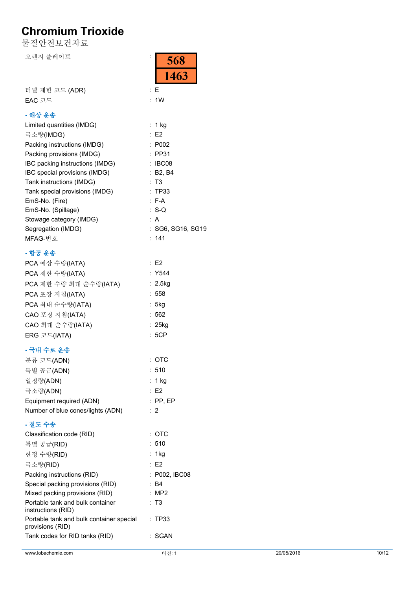물질안전보건자료

오렌지 플레이트

| 터널 제한 코드 (ADR) |  |
|----------------|--|
| $EAC$ 코드       |  |

#### **- 해상 운송**

| Limited quantities (IMDG)       | $: 1$ kg          |
|---------------------------------|-------------------|
| 극소량(IMDG)                       | E2                |
| Packing instructions (IMDG)     | : P002            |
| Packing provisions (IMDG)       | $:$ PP31          |
| IBC packing instructions (IMDG) | : IBC08           |
| IBC special provisions (IMDG)   | : B2, B4          |
| Tank instructions (IMDG)        | : T3              |
| Tank special provisions (IMDG)  | : TP33            |
| EmS-No. (Fire)                  | $: F-A$           |
| EmS-No. (Spillage)              | $: S-O$           |
| Stowage category (IMDG)         | : A               |
| Segregation (IMDG)              | : SG6. SG16. SG19 |
| MFAG-번호                         | : 141             |
|                                 |                   |

:

568

1463

: E

: 1W

### **- 항공 운송**

| PCA 예상 수량(IATA)        | E2        |
|------------------------|-----------|
| PCA 제한 수량(IATA)        | : Y544    |
| PCA 제한 수량 최대 순수량(IATA) | : 2.5kg   |
| PCA 포장 지침(IATA)        | : 558     |
| PCA 최대 순수량(IATA)       | : 5kg     |
| CAO 포장 지침(IATA)        | :562      |
| CAO 최대 순수량(IATA)       | $: 25$ kg |
| ERG 코드(IATA)           | : 5CP     |

### **- 국내 수로 운송**

| 분류 코드(ADN)                        | : ОТС           |
|-----------------------------------|-----------------|
| 특별 공급(ADN)                        | :510            |
| 일정량(ADN)                          | : 1 kg          |
| 극소량(ADN)                          | $\therefore$ E2 |
| Equipment required (ADN)          | $:$ PP. EP      |
| Number of blue cones/lights (ADN) | $\therefore$ 2  |

#### **- 철도 수송**

| Classification code (RID)                                    | : ОТС         |
|--------------------------------------------------------------|---------------|
| 특별 공급(RID)                                                   | : 510         |
| 한정 수량(RID)                                                   | : 1 $kg$      |
| 극소량(RID)                                                     | E2            |
| Packing instructions (RID)                                   | : P002, IBC08 |
| Special packing provisions (RID)                             | : B4          |
| Mixed packing provisions (RID)                               | : MP2         |
| Portable tank and bulk container<br>instructions (RID)       | : T3          |
| Portable tank and bulk container special<br>provisions (RID) | : TP33        |
| Tank codes for RID tanks (RID)                               | SGAN          |
|                                                              |               |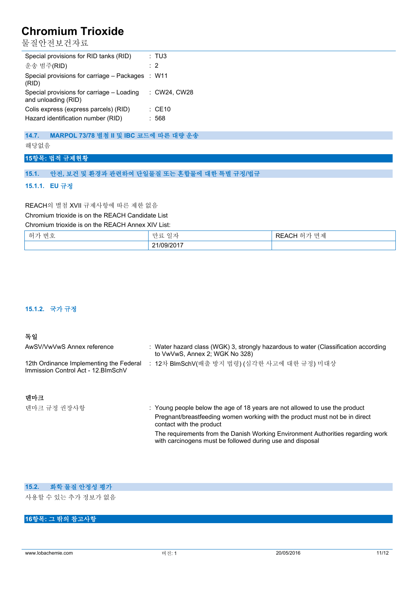물질안전보건자료

| Special provisions for RID tanks (RID)                           | : TUS             |
|------------------------------------------------------------------|-------------------|
| 운송 범주(RID)                                                       | $\cdot$ 2         |
| Special provisions for carriage – Packages : W11<br>(RID)        |                   |
| Special provisions for carriage - Loading<br>and unloading (RID) | : CW24. CW28      |
| Colis express (express parcels) (RID)                            | $\therefore$ CE10 |
| Hazard identification number (RID)                               | 568               |

### **14.7. MARPOL 73/78 별첨 II 및 IBC 코드에 따른 대량 운송**

해당없음

#### **15항목: 법적 규제현황**

#### **15.1. 안전, 보건 및 환경과 관련하여 단일물질 또는 혼합물에 대한 특별 규정/법규**

#### **15.1.1. EU 규정**

#### REACH의 별첨 XVII 규제사항에 따른 제한 없음

Chromium trioxide is on the REACH Candidate List

Chromium trioxide is on the REACH Annex XIV List:

| $-1$       | $\sim$                   | 제                |
|------------|--------------------------|------------------|
| וני        | ᅚ                        | $\mathbf{H}$     |
| سن         | $\overline{\phantom{a}}$ | $\sim$           |
| ਨੌ         |                          | $\cdot$ $\Gamma$ |
|            | ◡                        | .                |
| ப          | ◡                        | $-$              |
| المستعادات |                          |                  |
|            | .<br>21/09/<br>,,,,      |                  |

#### **15.1.2. 국가 규정**

#### **독일**

| AwSV/VwVwS Annex reference                                                     | : Water hazard class (WGK) 3, strongly hazardous to water (Classification according<br>to VwVwS, Annex 2; WGK No 328) |
|--------------------------------------------------------------------------------|-----------------------------------------------------------------------------------------------------------------------|
| 12th Ordinance Implementing the Federal<br>Immission Control Act - 12. BlmSchV | 12차 BlmSchV(배출 방지 법령) (심각한 사고에 대한 규정) 미대상                                                                             |
|                                                                                |                                                                                                                       |

#### **덴마크**

| 덴마크 규정 권장사항 | : Young people below the age of 18 years are not allowed to use the product                                                                  |
|-------------|----------------------------------------------------------------------------------------------------------------------------------------------|
|             | Pregnant/breastfeeding women working with the product must not be in direct<br>contact with the product                                      |
|             | The requirements from the Danish Working Environment Authorities regarding work<br>with carcinogens must be followed during use and disposal |

## **15.2. 화학 물질 안정성 평가**

사용할 수 있는 추가 정보가 없음

### **16항목: 그 밖의 참고사항**